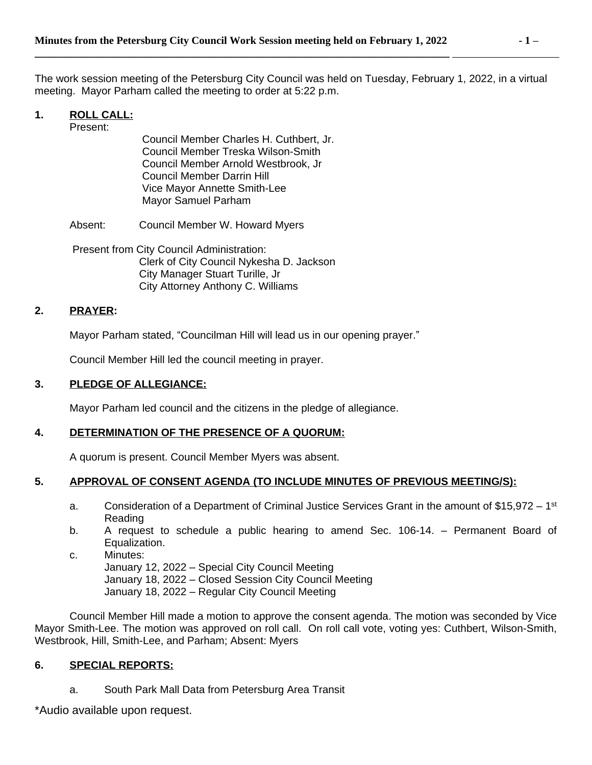The work session meeting of the Petersburg City Council was held on Tuesday, February 1, 2022, in a virtual meeting. Mayor Parham called the meeting to order at 5:22 p.m.

# **1. ROLL CALL:**

Present:

Council Member Charles H. Cuthbert, Jr. Council Member Treska Wilson-Smith Council Member Arnold Westbrook, Jr Council Member Darrin Hill Vice Mayor Annette Smith-Lee Mayor Samuel Parham

Absent: Council Member W. Howard Myers

Present from City Council Administration: Clerk of City Council Nykesha D. Jackson City Manager Stuart Turille, Jr City Attorney Anthony C. Williams

## **2. PRAYER:**

Mayor Parham stated, "Councilman Hill will lead us in our opening prayer."

Council Member Hill led the council meeting in prayer.

## **3. PLEDGE OF ALLEGIANCE:**

Mayor Parham led council and the citizens in the pledge of allegiance.

## **4. DETERMINATION OF THE PRESENCE OF A QUORUM:**

A quorum is present. Council Member Myers was absent.

## **5. APPROVAL OF CONSENT AGENDA (TO INCLUDE MINUTES OF PREVIOUS MEETING/S):**

- a. Consideration of a Department of Criminal Justice Services Grant in the amount of \$15,972 1<sup>st</sup> Reading
- b. A request to schedule a public hearing to amend Sec. 106-14. Permanent Board of Equalization.

c. Minutes: January 12, 2022 – Special City Council Meeting January 18, 2022 – Closed Session City Council Meeting January 18, 2022 – Regular City Council Meeting

Council Member Hill made a motion to approve the consent agenda. The motion was seconded by Vice Mayor Smith-Lee. The motion was approved on roll call. On roll call vote, voting yes: Cuthbert, Wilson-Smith, Westbrook, Hill, Smith-Lee, and Parham; Absent: Myers

## **6. SPECIAL REPORTS:**

a. South Park Mall Data from Petersburg Area Transit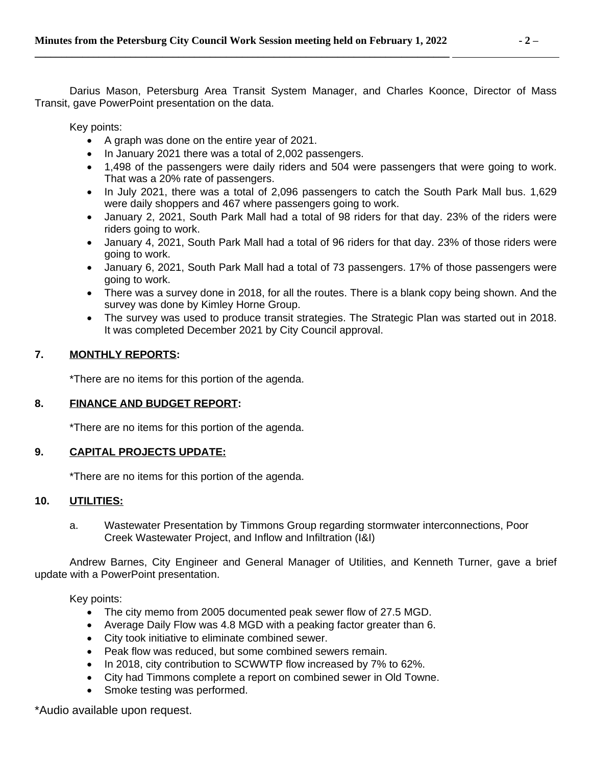Darius Mason, Petersburg Area Transit System Manager, and Charles Koonce, Director of Mass Transit, gave PowerPoint presentation on the data.

Key points:

- A graph was done on the entire year of 2021.
- In January 2021 there was a total of 2,002 passengers.
- 1,498 of the passengers were daily riders and 504 were passengers that were going to work. That was a 20% rate of passengers.
- In July 2021, there was a total of 2,096 passengers to catch the South Park Mall bus. 1,629 were daily shoppers and 467 where passengers going to work.
- January 2, 2021, South Park Mall had a total of 98 riders for that day. 23% of the riders were riders going to work.
- January 4, 2021, South Park Mall had a total of 96 riders for that day. 23% of those riders were going to work.
- January 6, 2021, South Park Mall had a total of 73 passengers. 17% of those passengers were going to work.
- There was a survey done in 2018, for all the routes. There is a blank copy being shown. And the survey was done by Kimley Horne Group.
- The survey was used to produce transit strategies. The Strategic Plan was started out in 2018. It was completed December 2021 by City Council approval.

# **7. MONTHLY REPORTS:**

\*There are no items for this portion of the agenda.

## **8. FINANCE AND BUDGET REPORT:**

\*There are no items for this portion of the agenda.

## **9. CAPITAL PROJECTS UPDATE:**

\*There are no items for this portion of the agenda.

## **10. UTILITIES:**

a. Wastewater Presentation by Timmons Group regarding stormwater interconnections, Poor Creek Wastewater Project, and Inflow and Infiltration (I&I)

Andrew Barnes, City Engineer and General Manager of Utilities, and Kenneth Turner, gave a brief update with a PowerPoint presentation.

Key points:

- The city memo from 2005 documented peak sewer flow of 27.5 MGD.
- Average Daily Flow was 4.8 MGD with a peaking factor greater than 6.
- City took initiative to eliminate combined sewer.
- Peak flow was reduced, but some combined sewers remain.
- In 2018, city contribution to SCWWTP flow increased by 7% to 62%.
- City had Timmons complete a report on combined sewer in Old Towne.
- Smoke testing was performed.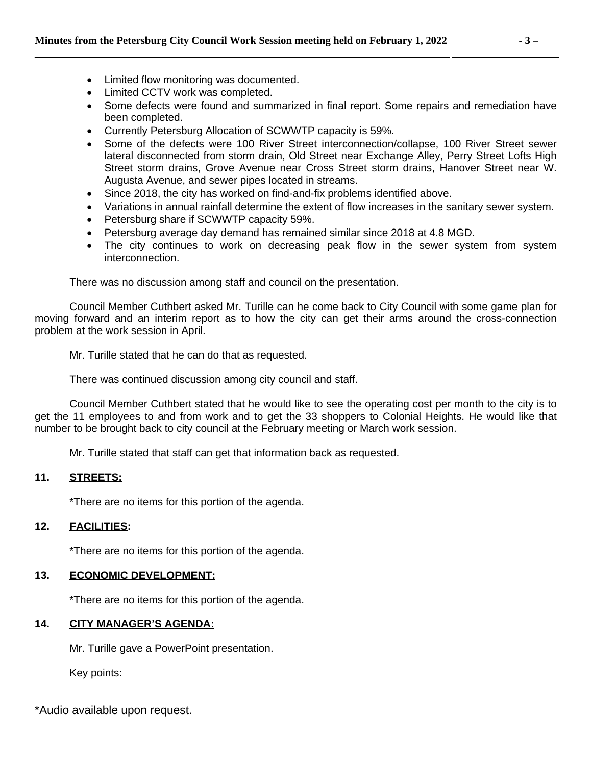- Limited flow monitoring was documented.
- Limited CCTV work was completed.
- Some defects were found and summarized in final report. Some repairs and remediation have been completed.
- Currently Petersburg Allocation of SCWWTP capacity is 59%.
- Some of the defects were 100 River Street interconnection/collapse, 100 River Street sewer lateral disconnected from storm drain, Old Street near Exchange Alley, Perry Street Lofts High Street storm drains, Grove Avenue near Cross Street storm drains, Hanover Street near W. Augusta Avenue, and sewer pipes located in streams.
- Since 2018, the city has worked on find-and-fix problems identified above.
- Variations in annual rainfall determine the extent of flow increases in the sanitary sewer system.
- Petersburg share if SCWWTP capacity 59%.
- Petersburg average day demand has remained similar since 2018 at 4.8 MGD.
- The city continues to work on decreasing peak flow in the sewer system from system interconnection.

There was no discussion among staff and council on the presentation.

Council Member Cuthbert asked Mr. Turille can he come back to City Council with some game plan for moving forward and an interim report as to how the city can get their arms around the cross-connection problem at the work session in April.

Mr. Turille stated that he can do that as requested.

There was continued discussion among city council and staff.

Council Member Cuthbert stated that he would like to see the operating cost per month to the city is to get the 11 employees to and from work and to get the 33 shoppers to Colonial Heights. He would like that number to be brought back to city council at the February meeting or March work session.

Mr. Turille stated that staff can get that information back as requested.

## **11. STREETS:**

\*There are no items for this portion of the agenda.

## **12. FACILITIES:**

\*There are no items for this portion of the agenda.

## **13. ECONOMIC DEVELOPMENT:**

\*There are no items for this portion of the agenda.

## **14. CITY MANAGER'S AGENDA:**

Mr. Turille gave a PowerPoint presentation.

Key points: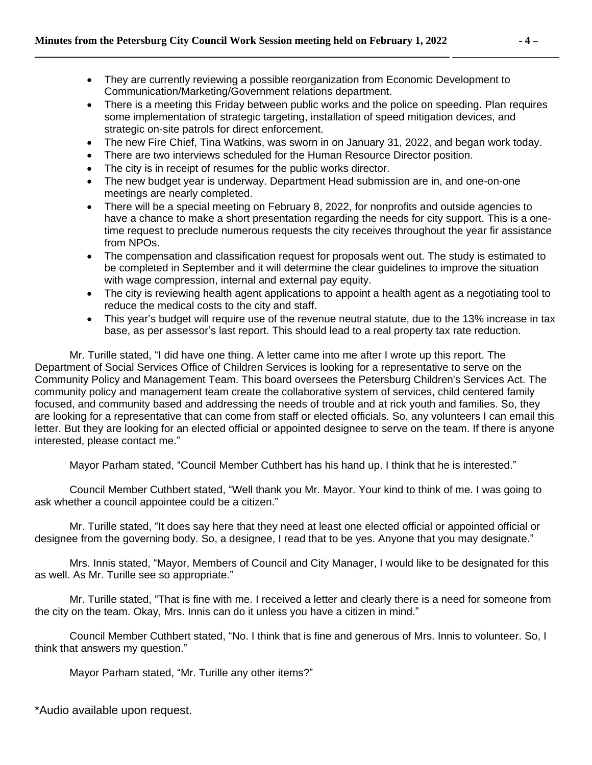- They are currently reviewing a possible reorganization from Economic Development to Communication/Marketing/Government relations department.
- There is a meeting this Friday between public works and the police on speeding. Plan requires some implementation of strategic targeting, installation of speed mitigation devices, and strategic on-site patrols for direct enforcement.
- The new Fire Chief, Tina Watkins, was sworn in on January 31, 2022, and began work today.
- There are two interviews scheduled for the Human Resource Director position.
- The city is in receipt of resumes for the public works director.
- The new budget year is underway. Department Head submission are in, and one-on-one meetings are nearly completed.
- There will be a special meeting on February 8, 2022, for nonprofits and outside agencies to have a chance to make a short presentation regarding the needs for city support. This is a onetime request to preclude numerous requests the city receives throughout the year fir assistance from NPOs.
- The compensation and classification request for proposals went out. The study is estimated to be completed in September and it will determine the clear guidelines to improve the situation with wage compression, internal and external pay equity.
- The city is reviewing health agent applications to appoint a health agent as a negotiating tool to reduce the medical costs to the city and staff.
- This year's budget will require use of the revenue neutral statute, due to the 13% increase in tax base, as per assessor's last report. This should lead to a real property tax rate reduction.

Mr. Turille stated, "I did have one thing. A letter came into me after I wrote up this report. The Department of Social Services Office of Children Services is looking for a representative to serve on the Community Policy and Management Team. This board oversees the Petersburg Children's Services Act. The community policy and management team create the collaborative system of services, child centered family focused, and community based and addressing the needs of trouble and at rick youth and families. So, they are looking for a representative that can come from staff or elected officials. So, any volunteers I can email this letter. But they are looking for an elected official or appointed designee to serve on the team. If there is anyone interested, please contact me."

Mayor Parham stated, "Council Member Cuthbert has his hand up. I think that he is interested."

Council Member Cuthbert stated, "Well thank you Mr. Mayor. Your kind to think of me. I was going to ask whether a council appointee could be a citizen."

Mr. Turille stated, "It does say here that they need at least one elected official or appointed official or designee from the governing body. So, a designee, I read that to be yes. Anyone that you may designate."

Mrs. Innis stated, "Mayor, Members of Council and City Manager, I would like to be designated for this as well. As Mr. Turille see so appropriate."

Mr. Turille stated, "That is fine with me. I received a letter and clearly there is a need for someone from the city on the team. Okay, Mrs. Innis can do it unless you have a citizen in mind."

Council Member Cuthbert stated, "No. I think that is fine and generous of Mrs. Innis to volunteer. So, I think that answers my question."

Mayor Parham stated, "Mr. Turille any other items?"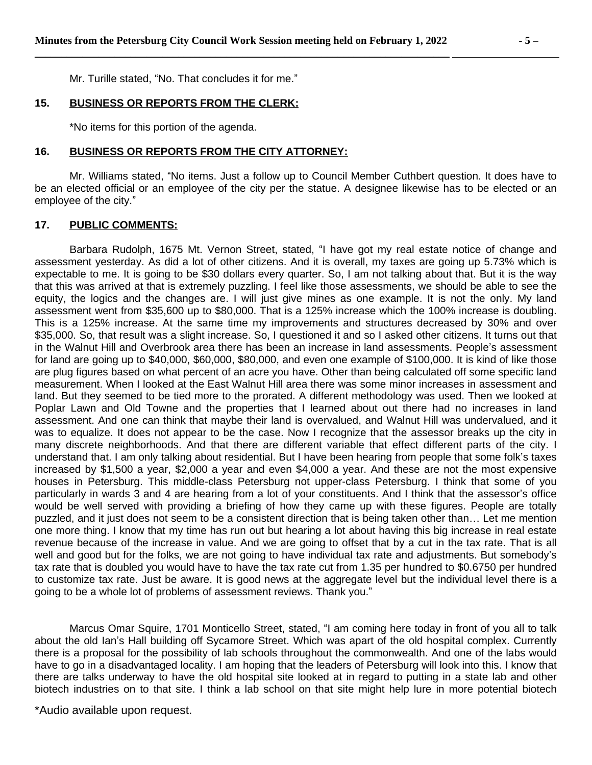Mr. Turille stated, "No. That concludes it for me."

#### **15. BUSINESS OR REPORTS FROM THE CLERK:**

\*No items for this portion of the agenda.

#### **16. BUSINESS OR REPORTS FROM THE CITY ATTORNEY:**

Mr. Williams stated, "No items. Just a follow up to Council Member Cuthbert question. It does have to be an elected official or an employee of the city per the statue. A designee likewise has to be elected or an employee of the city."

#### **17. PUBLIC COMMENTS:**

Barbara Rudolph, 1675 Mt. Vernon Street, stated, "I have got my real estate notice of change and assessment yesterday. As did a lot of other citizens. And it is overall, my taxes are going up 5.73% which is expectable to me. It is going to be \$30 dollars every quarter. So, I am not talking about that. But it is the way that this was arrived at that is extremely puzzling. I feel like those assessments, we should be able to see the equity, the logics and the changes are. I will just give mines as one example. It is not the only. My land assessment went from \$35,600 up to \$80,000. That is a 125% increase which the 100% increase is doubling. This is a 125% increase. At the same time my improvements and structures decreased by 30% and over \$35,000. So, that result was a slight increase. So, I questioned it and so I asked other citizens. It turns out that in the Walnut Hill and Overbrook area there has been an increase in land assessments. People's assessment for land are going up to \$40,000, \$60,000, \$80,000, and even one example of \$100,000. It is kind of like those are plug figures based on what percent of an acre you have. Other than being calculated off some specific land measurement. When I looked at the East Walnut Hill area there was some minor increases in assessment and land. But they seemed to be tied more to the prorated. A different methodology was used. Then we looked at Poplar Lawn and Old Towne and the properties that I learned about out there had no increases in land assessment. And one can think that maybe their land is overvalued, and Walnut Hill was undervalued, and it was to equalize. It does not appear to be the case. Now I recognize that the assessor breaks up the city in many discrete neighborhoods. And that there are different variable that effect different parts of the city. I understand that. I am only talking about residential. But I have been hearing from people that some folk's taxes increased by \$1,500 a year, \$2,000 a year and even \$4,000 a year. And these are not the most expensive houses in Petersburg. This middle-class Petersburg not upper-class Petersburg. I think that some of you particularly in wards 3 and 4 are hearing from a lot of your constituents. And I think that the assessor's office would be well served with providing a briefing of how they came up with these figures. People are totally puzzled, and it just does not seem to be a consistent direction that is being taken other than… Let me mention one more thing. I know that my time has run out but hearing a lot about having this big increase in real estate revenue because of the increase in value. And we are going to offset that by a cut in the tax rate. That is all well and good but for the folks, we are not going to have individual tax rate and adjustments. But somebody's tax rate that is doubled you would have to have the tax rate cut from 1.35 per hundred to \$0.6750 per hundred to customize tax rate. Just be aware. It is good news at the aggregate level but the individual level there is a going to be a whole lot of problems of assessment reviews. Thank you."

Marcus Omar Squire, 1701 Monticello Street, stated, "I am coming here today in front of you all to talk about the old Ian's Hall building off Sycamore Street. Which was apart of the old hospital complex. Currently there is a proposal for the possibility of lab schools throughout the commonwealth. And one of the labs would have to go in a disadvantaged locality. I am hoping that the leaders of Petersburg will look into this. I know that there are talks underway to have the old hospital site looked at in regard to putting in a state lab and other biotech industries on to that site. I think a lab school on that site might help lure in more potential biotech